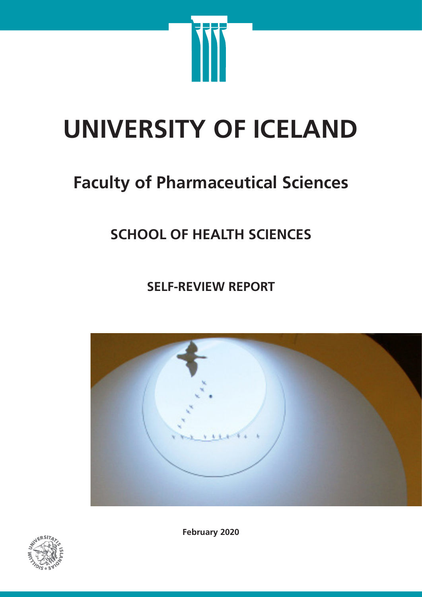

# **UNIVERSITY OF ICELAND**

# **Faculty of Pharmaceutical Sciences**

## **SCHOOL OF HEALTH SCIENCES**

**SELF-REVIEW REPORT**





**February 2020**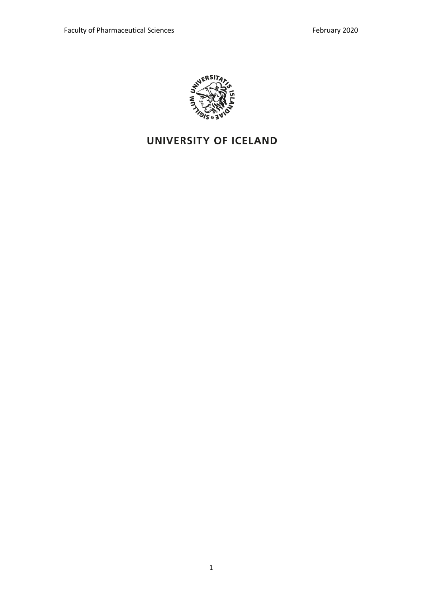

### UNIVERSITY OF ICELAND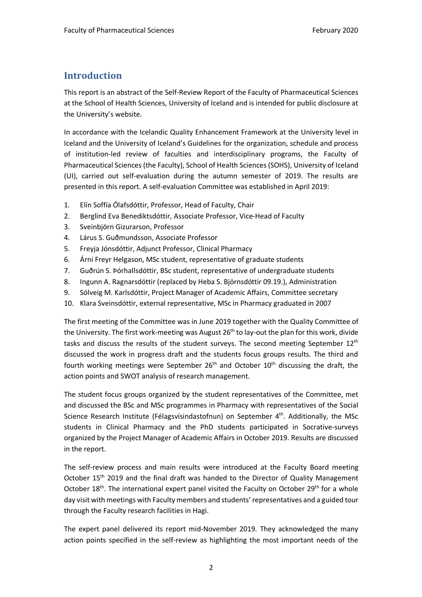#### **Introduction**

This report is an abstract of the Self-Review Report of the Faculty of Pharmaceutical Sciences at the School of Health Sciences, University of Iceland and is intended for public disclosure at the University's website.

In accordance with the Icelandic Quality Enhancement Framework at the University level in Iceland and the University of Iceland's Guidelines for the organization, schedule and process of institution-led review of faculties and interdisciplinary programs, the Faculty of Pharmaceutical Sciences (the Faculty), School of Health Sciences (SOHS), University of Iceland (UI), carried out self-evaluation during the autumn semester of 2019. The results are presented in this report. A self-evaluation Committee was established in April 2019:

- 1. Elín Soffía Ólafsdóttir, Professor, Head of Faculty, Chair
- 2. Berglind Eva Benediktsdóttir, Associate Professor, Vice-Head of Faculty
- 3. Sveinbjörn Gizurarson, Professor
- 4. Lárus S. Guðmundsson, Associate Professor
- 5. Freyja Jónsdóttir, Adjunct Professor, Clinical Pharmacy
- 6. Árni Freyr Helgason, MSc student, representative of graduate students
- 7. Guðrún S. Þórhallsdóttir, BSc student, representative of undergraduate students
- 8. Ingunn A. Ragnarsdóttir (replaced by Heba S. Björnsdóttir 09.19.), Administration
- 9. Sólveig M. Karlsdóttir, Project Manager of Academic Affairs, Committee secretary
- 10. Klara Sveinsdóttir, external representative, MSc in Pharmacy graduated in 2007

The first meeting of the Committee was in June 2019 together with the Quality Committee of the University. The first work-meeting was August  $26<sup>th</sup>$  to lay-out the plan for this work, divide tasks and discuss the results of the student surveys. The second meeting September  $12<sup>th</sup>$ discussed the work in progress draft and the students focus groups results. The third and fourth working meetings were September  $26<sup>th</sup>$  and October  $10<sup>th</sup>$  discussing the draft, the action points and SWOT analysis of research management.

The student focus groups organized by the student representatives of the Committee, met and discussed the BSc and MSc programmes in Pharmacy with representatives of the Social Science Research Institute (Félagsvísindastofnun) on September 4<sup>th</sup>. Additionally, the MSc students in Clinical Pharmacy and the PhD students participated in Socrative-surveys organized by the Project Manager of Academic Affairs in October 2019. Results are discussed in the report.

The self-review process and main results were introduced at the Faculty Board meeting October 15<sup>th</sup> 2019 and the final draft was handed to the Director of Quality Management October 18<sup>th</sup>. The international expert panel visited the Faculty on October 29<sup>th</sup> for a whole day visit with meetings with Faculty members and students' representatives and a guided tour through the Faculty research facilities in Hagi.

The expert panel delivered its report mid-November 2019. They acknowledged the many action points specified in the self-review as highlighting the most important needs of the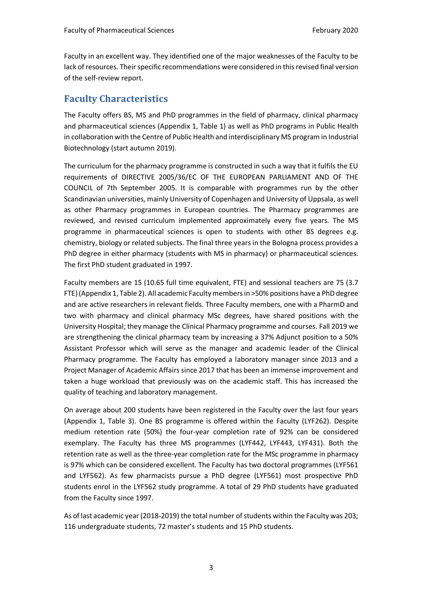Faculty in an excellent way. They identified one of the major weaknesses of the Faculty to be lack of resources. Their specific recommendations were considered in this revised final version of the self-review report.

#### **Faculty Characteristics**

The Faculty offers BS, MS and PhD programmes in the field of pharmacy, clinical pharmacy and pharmaceutical sciences (Appendix 1, Table 1) as well as PhD programs in Public Health in collaboration with the Centre of Public Health and interdisciplinary MS program in Industrial Biotechnology (start autumn 2019).

The curriculum for the pharmacy programme is constructed in such a way that it fulfils the EU requirements of DIRECTIVE 2005/36/EC OF THE EUROPEAN PARLIAMENT AND OF THE COUNCIL of 7th September 2005. It is comparable with programmes run by the other Scandinavian universities, mainly University of Copenhagen and University of Uppsala, as well as other Pharmacy programmes in European countries. The Pharmacy programmes are reviewed, and revised curriculum implemented approximately every five years. The MS programme in pharmaceutical sciences is open to students with other BS degrees e.g. chemistry, biology or related subjects. The final three years in the Bologna process provides a PhD degree in either pharmacy (students with MS in pharmacy) or pharmaceutical sciences. The first PhD student graduated in 1997.

Faculty members are 15 (10.65 full time equivalent, FTE) and sessional teachers are 75 (3.7 FTE) (Appendix 1, Table 2). All academic Faculty members in >50% positions have a PhD degree and are active researchers in relevant fields. Three Faculty members, one with a PharmD and two with pharmacy and clinical pharmacy MSc degrees, have shared positions with the University Hospital; they manage the Clinical Pharmacy programme and courses. Fall 2019 we are strengthening the clinical pharmacy team by increasing a 37% Adjunct position to a 50% Assistant Professor which will serve as the manager and academic leader of the Clinical Pharmacy programme. The Faculty has employed a laboratory manager since 2013 and a Project Manager of Academic Affairs since 2017 that has been an immense improvement and taken a huge workload that previously was on the academic staff. This has increased the quality of teaching and laboratory management.

On average about 200 students have been registered in the Faculty over the last four years (Appendix 1, Table 3). One BS programme is offered within the Faculty (LYF262). Despite medium retention rate (50%) the four-year completion rate of 92% can be considered exemplary. The Faculty has three MS programmes (LYF442, LYF443, LYF431). Both the retention rate as well as the three-year completion rate for the MSc programme in pharmacy is 97% which can be considered excellent. The Faculty has two doctoral programmes (LYF561 and LYF562). As few pharmacists pursue a PhD degree (LYF561) most prospective PhD students enrol in the LYF562 study programme. A total of 29 PhD students have graduated from the Faculty since 1997.

As of last academic year (2018-2019) the total number of students within the Faculty was 203; 116 undergraduate students, 72 master's students and 15 PhD students.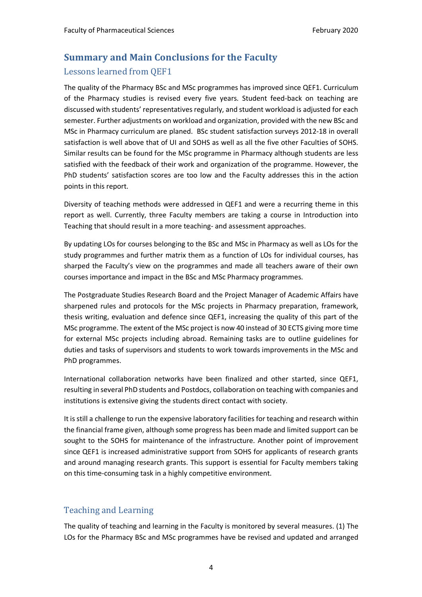#### **Summary and Main Conclusions for the Faculty**

#### Lessons learned from QEF1

The quality of the Pharmacy BSc and MSc programmes has improved since QEF1. Curriculum of the Pharmacy studies is revised every five years. Student feed-back on teaching are discussed with students' representatives regularly, and student workload is adjusted for each semester. Further adjustments on workload and organization, provided with the new BSc and MSc in Pharmacy curriculum are planed. BSc student satisfaction surveys 2012-18 in overall satisfaction is well above that of UI and SOHS as well as all the five other Faculties of SOHS. Similar results can be found for the MSc programme in Pharmacy although students are less satisfied with the feedback of their work and organization of the programme. However, the PhD students' satisfaction scores are too low and the Faculty addresses this in the action points in this report.

Diversity of teaching methods were addressed in QEF1 and were a recurring theme in this report as well. Currently, three Faculty members are taking a course in Introduction into Teaching that should result in a more teaching- and assessment approaches.

By updating LOs for courses belonging to the BSc and MSc in Pharmacy as well as LOs for the study programmes and further matrix them as a function of LOs for individual courses, has sharped the Faculty's view on the programmes and made all teachers aware of their own courses importance and impact in the BSc and MSc Pharmacy programmes.

The Postgraduate Studies Research Board and the Project Manager of Academic Affairs have sharpened rules and protocols for the MSc projects in Pharmacy preparation, framework, thesis writing, evaluation and defence since QEF1, increasing the quality of this part of the MSc programme. The extent of the MSc project is now 40 instead of 30 ECTS giving more time for external MSc projects including abroad. Remaining tasks are to outline guidelines for duties and tasks of supervisors and students to work towards improvements in the MSc and PhD programmes.

International collaboration networks have been finalized and other started, since QEF1, resulting in several PhD students and Postdocs, collaboration on teaching with companies and institutions is extensive giving the students direct contact with society.

It is still a challenge to run the expensive laboratory facilities for teaching and research within the financial frame given, although some progress has been made and limited support can be sought to the SOHS for maintenance of the infrastructure. Another point of improvement since QEF1 is increased administrative support from SOHS for applicants of research grants and around managing research grants. This support is essential for Faculty members taking on this time-consuming task in a highly competitive environment.

#### Teaching and Learning

The quality of teaching and learning in the Faculty is monitored by several measures. (1) The LOs for the Pharmacy BSc and MSc programmes have be revised and updated and arranged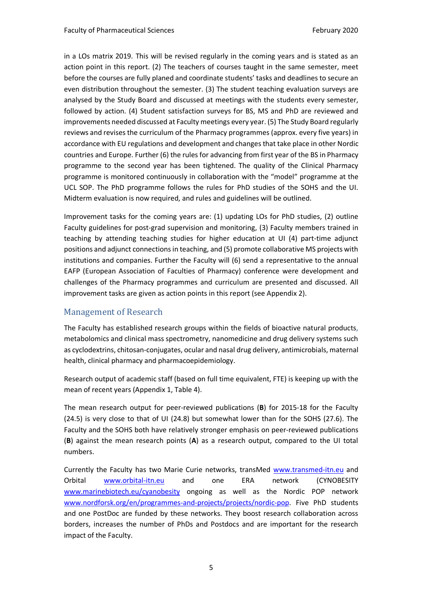in a LOs matrix 2019. This will be revised regularly in the coming years and is stated as an action point in this report. (2) The teachers of courses taught in the same semester, meet before the courses are fully planed and coordinate students' tasks and deadlines to secure an even distribution throughout the semester. (3) The student teaching evaluation surveys are analysed by the Study Board and discussed at meetings with the students every semester, followed by action. (4) Student satisfaction surveys for BS, MS and PhD are reviewed and improvements needed discussed at Faculty meetings every year. (5) The Study Board regularly reviews and revises the curriculum of the Pharmacy programmes (approx. every five years) in accordance with EU regulations and development and changes that take place in other Nordic countries and Europe. Further (6) the rules for advancing from first year of the BS in Pharmacy programme to the second year has been tightened. The quality of the Clinical Pharmacy programme is monitored continuously in collaboration with the "model" programme at the UCL SOP. The PhD programme follows the rules for PhD studies of the SOHS and the UI. Midterm evaluation is now required, and rules and guidelines will be outlined.

Improvement tasks for the coming years are: (1) updating LOs for PhD studies, (2) outline Faculty guidelines for post-grad supervision and monitoring, (3) Faculty members trained in teaching by attending teaching studies for higher education at UI (4) part-time adjunct positions and adjunct connections in teaching, and (5) promote collaborative MS projects with institutions and companies. Further the Faculty will (6) send a representative to the annual EAFP (European Association of Faculties of Pharmacy) conference were development and challenges of the Pharmacy programmes and curriculum are presented and discussed. All improvement tasks are given as action points in this report (see Appendix 2).

#### Management of Research

The Faculty has established research groups within the fields of bioactive natural products, metabolomics and clinical mass spectrometry, nanomedicine and drug delivery systems such as cyclodextrins, chitosan-conjugates, ocular and nasal drug delivery, antimicrobials, maternal health, clinical pharmacy and pharmacoepidemiology.

Research output of academic staff (based on full time equivalent, FTE) is keeping up with the mean of recent years (Appendix 1, Table 4).

The mean research output for peer-reviewed publications (**B**) for 2015-18 for the Faculty (24.5) is very close to that of UI (24.8) but somewhat lower than for the SOHS (27.6). The Faculty and the SOHS both have relatively stronger emphasis on peer-reviewed publications (**B**) against the mean research points (**A**) as a research output, compared to the UI total numbers.

Currently the Faculty has two Marie Curie networks, transMed www.transmed-itn.eu and Orbital www.orbital-itn.eu and one ERA network (CYNOBESITY www.marinebiotech.eu/cyanobesity ongoing as well as the Nordic POP network www.nordforsk.org/en/programmes-and-projects/projects/nordic-pop. Five PhD students and one PostDoc are funded by these networks. They boost research collaboration across borders, increases the number of PhDs and Postdocs and are important for the research impact of the Faculty.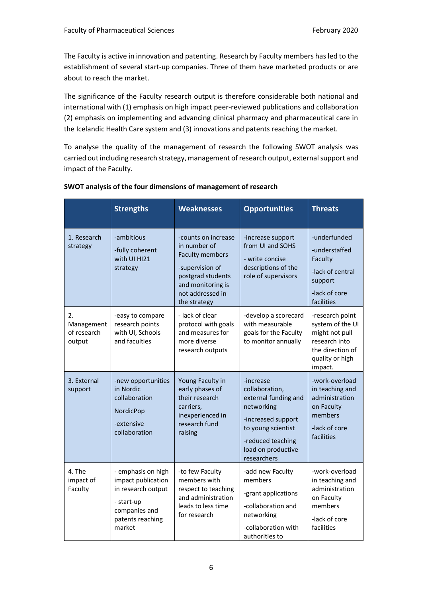The Faculty is active in innovation and patenting. Research by Faculty members has led to the establishment of several start-up companies. Three of them have marketed products or are about to reach the market.

The significance of the Faculty research output is therefore considerable both national and international with (1) emphasis on high impact peer-reviewed publications and collaboration (2) emphasis on implementing and advancing clinical pharmacy and pharmaceutical care in the Icelandic Health Care system and (3) innovations and patents reaching the market.

To analyse the quality of the management of research the following SWOT analysis was carried out including research strategy, management of research output, external support and impact of the Faculty.

|                                           | <b>Strengths</b>                                                                                                            | <b>Weaknesses</b>                                                                                                                                              | <b>Opportunities</b>                                                                                                                                                    | <b>Threats</b>                                                                                                           |
|-------------------------------------------|-----------------------------------------------------------------------------------------------------------------------------|----------------------------------------------------------------------------------------------------------------------------------------------------------------|-------------------------------------------------------------------------------------------------------------------------------------------------------------------------|--------------------------------------------------------------------------------------------------------------------------|
| 1. Research<br>strategy                   | -ambitious<br>-fully coherent<br>with UI HI21<br>strategy                                                                   | -counts on increase<br>in number of<br><b>Faculty members</b><br>-supervision of<br>postgrad students<br>and monitoring is<br>not addressed in<br>the strategy | -increase support<br>from UI and SOHS<br>- write concise<br>descriptions of the<br>role of supervisors                                                                  | -underfunded<br>-understaffed<br>Faculty<br>-lack of central<br>support<br>-lack of core<br>facilities                   |
| 2.<br>Management<br>of research<br>output | -easy to compare<br>research points<br>with UI, Schools<br>and faculties                                                    | - lack of clear<br>protocol with goals<br>and measures for<br>more diverse<br>research outputs                                                                 | -develop a scorecard<br>with measurable<br>goals for the Faculty<br>to monitor annually                                                                                 | -research point<br>system of the UI<br>might not pull<br>research into<br>the direction of<br>quality or high<br>impact. |
| 3. External<br>support                    | -new opportunities<br>in Nordic<br>collaboration<br>NordicPop<br>-extensive<br>collaboration                                | Young Faculty in<br>early phases of<br>their research<br>carriers,<br>inexperienced in<br>research fund<br>raising                                             | -increase<br>collaboration,<br>external funding and<br>networking<br>-increased support<br>to young scientist<br>-reduced teaching<br>load on productive<br>researchers | -work-overload<br>in teaching and<br>administration<br>on Faculty<br>members<br>-lack of core<br>facilities              |
| 4. The<br>impact of<br>Faculty            | - emphasis on high<br>impact publication<br>in research output<br>- start-up<br>companies and<br>patents reaching<br>market | -to few Faculty<br>members with<br>respect to teaching<br>and administration<br>leads to less time<br>for research                                             | -add new Faculty<br>members<br>-grant applications<br>-collaboration and<br>networking<br>-collaboration with<br>authorities to                                         | -work-overload<br>in teaching and<br>administration<br>on Faculty<br>members<br>-lack of core<br>facilities              |

#### **SWOT analysis of the four dimensions of management of research**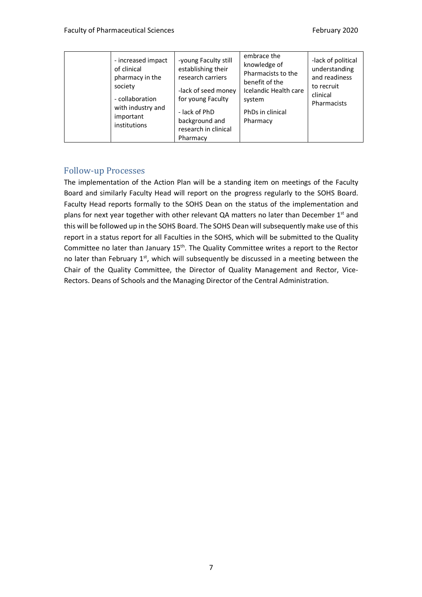| - increased impact<br>of clinical<br>pharmacy in the<br>society<br>- collaboration<br>with industry and<br>important<br>institutions | -young Faculty still<br>establishing their<br>research carriers<br>-lack of seed money<br>for young Faculty<br>- lack of PhD<br>background and<br>research in clinical<br>Pharmacy | embrace the<br>knowledge of<br>Pharmacists to the<br>benefit of the<br>Icelandic Health care<br>system<br>PhDs in clinical<br>Pharmacy | -lack of political<br>understanding<br>and readiness<br>to recruit<br>clinical<br><b>Pharmacists</b> |
|--------------------------------------------------------------------------------------------------------------------------------------|------------------------------------------------------------------------------------------------------------------------------------------------------------------------------------|----------------------------------------------------------------------------------------------------------------------------------------|------------------------------------------------------------------------------------------------------|
|--------------------------------------------------------------------------------------------------------------------------------------|------------------------------------------------------------------------------------------------------------------------------------------------------------------------------------|----------------------------------------------------------------------------------------------------------------------------------------|------------------------------------------------------------------------------------------------------|

#### Follow-up Processes

The implementation of the Action Plan will be a standing item on meetings of the Faculty Board and similarly Faculty Head will report on the progress regularly to the SOHS Board. Faculty Head reports formally to the SOHS Dean on the status of the implementation and plans for next year together with other relevant QA matters no later than December  $1<sup>st</sup>$  and this will be followed up in the SOHS Board. The SOHS Dean will subsequently make use of this report in a status report for all Faculties in the SOHS, which will be submitted to the Quality Committee no later than January 15<sup>th</sup>. The Quality Committee writes a report to the Rector no later than February  $1<sup>st</sup>$ , which will subsequently be discussed in a meeting between the Chair of the Quality Committee, the Director of Quality Management and Rector, Vice-Rectors. Deans of Schools and the Managing Director of the Central Administration.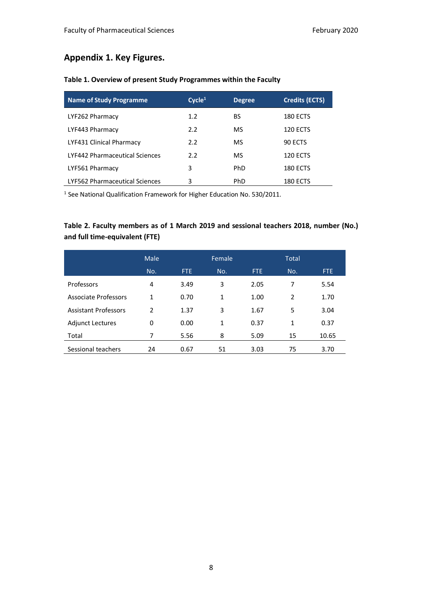#### **Appendix 1. Key Figures.**

|  |  |  |  | Table 1. Overview of present Study Programmes within the Faculty |  |  |
|--|--|--|--|------------------------------------------------------------------|--|--|
|--|--|--|--|------------------------------------------------------------------|--|--|

| <b>Name of Study Programme</b>        | Cycle <sup>1</sup> | <b>Degree</b> | <b>Credits (ECTS)</b> |
|---------------------------------------|--------------------|---------------|-----------------------|
| LYF262 Pharmacy                       | 1.2                | BS            | <b>180 ECTS</b>       |
| LYF443 Pharmacy                       | 2.2                | MS            | <b>120 ECTS</b>       |
| LYF431 Clinical Pharmacy              | 2.2                | MS            | 90 ECTS               |
| <b>LYF442 Pharmaceutical Sciences</b> | 2.2                | MS            | 120 ECTS              |
| LYF561 Pharmacy                       | 3                  | <b>PhD</b>    | <b>180 ECTS</b>       |
| LYF562 Pharmaceutical Sciences        | 3                  | PhD.          | 180 ECTS              |

<sup>1</sup> See National Qualification Framework for Higher Education No. 530/2011.

#### **Table 2. Faculty members as of 1 March 2019 and sessional teachers 2018, number (No.) and full time-equivalent (FTE)**

|                             | Male          |      | Female |      | <b>Total</b>   |       |
|-----------------------------|---------------|------|--------|------|----------------|-------|
|                             | No.           | FTE. | No.    | FTE. | No.            | FTE.  |
| Professors                  | 4             | 3.49 | 3      | 2.05 | 7              | 5.54  |
| <b>Associate Professors</b> | 1             | 0.70 | 1      | 1.00 | $\overline{2}$ | 1.70  |
| <b>Assistant Professors</b> | $\mathcal{P}$ | 1.37 | 3      | 1.67 | 5              | 3.04  |
| <b>Adjunct Lectures</b>     | 0             | 0.00 | 1      | 0.37 | 1              | 0.37  |
| Total                       | 7             | 5.56 | 8      | 5.09 | 15             | 10.65 |
| Sessional teachers          | 24            | 0.67 | 51     | 3.03 | 75             | 3.70  |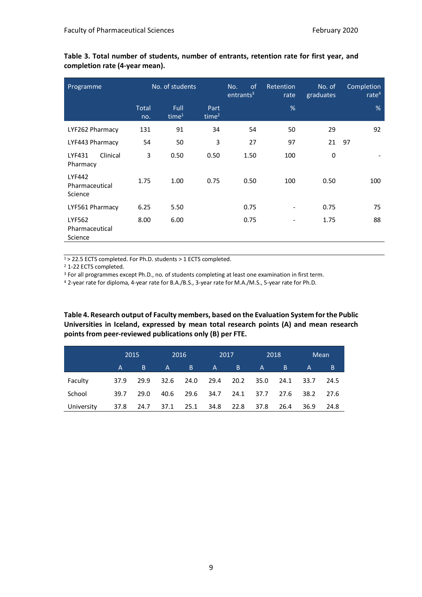| Programme                                  | No. of students     |                           | <sub>of</sub><br>No.<br>entrants <sup>3</sup> | Retention<br>rate | No. of<br>graduates | Completion<br>rate $4$ |     |
|--------------------------------------------|---------------------|---------------------------|-----------------------------------------------|-------------------|---------------------|------------------------|-----|
|                                            | <b>Total</b><br>no. | Full<br>time <sup>1</sup> | Part<br>time <sup>2</sup>                     |                   | %                   |                        | %   |
| LYF262 Pharmacy                            | 131                 | 91                        | 34                                            | 54                | 50                  | 29                     | 92  |
| LYF443 Pharmacy                            | 54                  | 50                        | 3                                             | 27                | 97                  | 21                     | 97  |
| Clinical<br>LYF431<br>Pharmacy             | 3                   | 0.50                      | 0.50                                          | 1.50              | 100                 | $\mathbf 0$            |     |
| <b>LYF442</b><br>Pharmaceutical<br>Science | 1.75                | 1.00                      | 0.75                                          | 0.50              | 100                 | 0.50                   | 100 |
| LYF561 Pharmacy                            | 6.25                | 5.50                      |                                               | 0.75              |                     | 0.75                   | 75  |
| LYF562<br>Pharmaceutical<br>Science        | 8.00                | 6.00                      |                                               | 0.75              |                     | 1.75                   | 88  |

**Table 3. Total number of students, number of entrants, retention rate for first year, and completion rate (4-year mean).**

1 > 22.5 ECTS completed. For Ph.D. students > 1 ECTS completed.

<sup>2</sup> 1-22 ECTS completed.

<sup>3</sup> For all programmes except Ph.D., no. of students completing at least one examination in first term.

<sup>4</sup> 2-year rate for diploma, 4-year rate for B.A./B.S., 3-year rate for M.A./M.S., 5-year rate for Ph.D.

**Table 4. Research output of Faculty members, based on the Evaluation System for the Public Universities in Iceland, expressed by mean total research points (A) and mean research points from peer-reviewed publications only (B) per FTE.**

|            | 2015 |           | 2016 |            | 2017      |      |              | 2018 |              | Mean |
|------------|------|-----------|------|------------|-----------|------|--------------|------|--------------|------|
|            | A    | B.        | A a  | <b>7B7</b> | A a       | B.   | $\mathsf{A}$ | B.   | $\mathsf{A}$ | B.   |
| Faculty    | 37.9 | 29.9      | 32.6 | 24.0       | 29.4      | 20.2 | 35.0         | 24.1 | 33.7         | 24.5 |
| School     | 39.7 | 29.0      | 40.6 |            | 29.6 34.7 | 24.1 | 37.7         | 27.6 | 38.2         | 27.6 |
| University | 37.8 | 24.7 37.1 |      | 25.1       | 34.8      | 22.8 | 37.8         | 26.4 | 36.9         | 24.8 |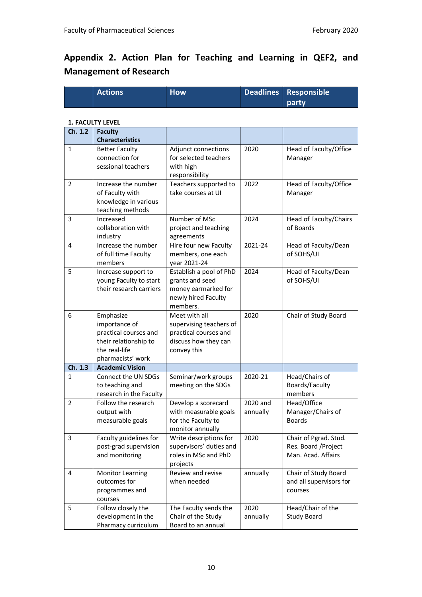### **Appendix 2. Action Plan for Teaching and Learning in QEF2, and Management of Research**

| <b>Actions</b> | <b>How</b> | Deadlines Responsible |
|----------------|------------|-----------------------|
|                |            | <b>party</b>          |

#### **1. FACULTY LEVEL**

| Ch. 1.2        | <b>Faculty</b>                                |                                            |          |                                    |
|----------------|-----------------------------------------------|--------------------------------------------|----------|------------------------------------|
|                | <b>Characteristics</b>                        |                                            |          |                                    |
| 1              | <b>Better Faculty</b>                         | Adjunct connections                        | 2020     | Head of Faculty/Office             |
|                | connection for                                | for selected teachers                      |          | Manager                            |
|                | sessional teachers                            | with high                                  |          |                                    |
| $\overline{2}$ | Increase the number                           | responsibility<br>Teachers supported to    | 2022     | Head of Faculty/Office             |
|                | of Faculty with                               | take courses at UI                         |          | Manager                            |
|                | knowledge in various                          |                                            |          |                                    |
|                | teaching methods                              |                                            |          |                                    |
| 3              | Increased                                     | Number of MSc                              | 2024     | Head of Faculty/Chairs             |
|                | collaboration with                            | project and teaching                       |          | of Boards                          |
|                | industry                                      | agreements                                 |          |                                    |
| 4              | Increase the number                           | Hire four new Faculty                      | 2021-24  | Head of Faculty/Dean               |
|                | of full time Faculty                          | members, one each                          |          | of SOHS/UI                         |
|                | members                                       | year 2021-24                               |          |                                    |
| 5              | Increase support to<br>young Faculty to start | Establish a pool of PhD<br>grants and seed | 2024     | Head of Faculty/Dean<br>of SOHS/UI |
|                | their research carriers                       | money earmarked for                        |          |                                    |
|                |                                               | newly hired Faculty                        |          |                                    |
|                |                                               | members.                                   |          |                                    |
| 6              | Emphasize                                     | Meet with all                              | 2020     | Chair of Study Board               |
|                | importance of                                 | supervising teachers of                    |          |                                    |
|                | practical courses and                         | practical courses and                      |          |                                    |
|                | their relationship to                         | discuss how they can                       |          |                                    |
|                | the real-life                                 | convey this                                |          |                                    |
|                | pharmacists' work                             |                                            |          |                                    |
| Ch. 1.3        | <b>Academic Vision</b>                        |                                            |          |                                    |
| 1              | Connect the UN SDGs                           | Seminar/work groups                        | 2020-21  | Head/Chairs of                     |
|                | to teaching and<br>research in the Faculty    | meeting on the SDGs                        |          | Boards/Faculty<br>members          |
| $\overline{2}$ | Follow the research                           | Develop a scorecard                        | 2020 and | Head/Office                        |
|                | output with                                   | with measurable goals                      | annually | Manager/Chairs of                  |
|                | measurable goals                              | for the Faculty to                         |          | <b>Boards</b>                      |
|                |                                               | monitor annually                           |          |                                    |
| 3              | Faculty guidelines for                        | Write descriptions for                     | 2020     | Chair of Pgrad. Stud.              |
|                | post-grad supervision                         | supervisors' duties and                    |          | Res. Board / Project               |
|                | and monitoring                                | roles in MSc and PhD                       |          | Man. Acad. Affairs                 |
|                |                                               | projects                                   |          |                                    |
| 4              | <b>Monitor Learning</b>                       | Review and revise                          | annually | Chair of Study Board               |
|                | outcomes for                                  | when needed                                |          | and all supervisors for            |
|                | programmes and<br>courses                     |                                            |          | courses                            |
| 5              | Follow closely the                            | The Faculty sends the                      | 2020     | Head/Chair of the                  |
|                | development in the                            | Chair of the Study                         | annually | <b>Study Board</b>                 |
|                | Pharmacy curriculum                           | Board to an annual                         |          |                                    |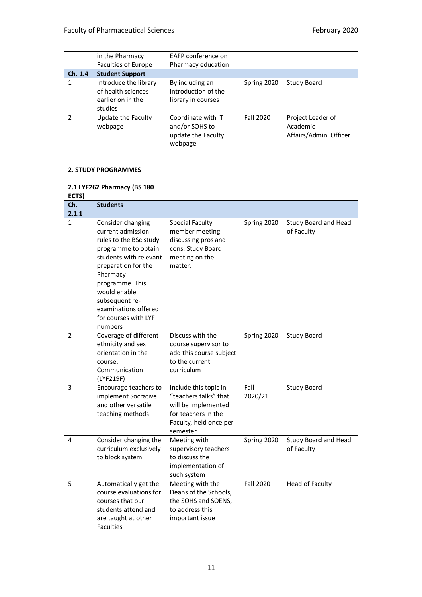|         | in the Pharmacy                                                             | EAFP conference on                                                    |             |                                                         |
|---------|-----------------------------------------------------------------------------|-----------------------------------------------------------------------|-------------|---------------------------------------------------------|
|         | Faculties of Europe                                                         | Pharmacy education                                                    |             |                                                         |
| Ch. 1.4 | <b>Student Support</b>                                                      |                                                                       |             |                                                         |
|         | Introduce the library<br>of health sciences<br>earlier on in the<br>studies | By including an<br>introduction of the<br>library in courses          | Spring 2020 | <b>Study Board</b>                                      |
|         | Update the Faculty<br>webpage                                               | Coordinate with IT<br>and/or SOHS to<br>update the Faculty<br>webpage | Fall 2020   | Project Leader of<br>Academic<br>Affairs/Admin. Officer |

#### **2. STUDY PROGRAMMES**

#### **2.1 LYF262 Pharmacy (BS 180**

**ECTS)**

| -- 7<br>Ch.    | <b>Students</b>                                                                                                                                                                                                                                                      |                                                                                                                                    |                  |                                    |
|----------------|----------------------------------------------------------------------------------------------------------------------------------------------------------------------------------------------------------------------------------------------------------------------|------------------------------------------------------------------------------------------------------------------------------------|------------------|------------------------------------|
| 2.1.1          |                                                                                                                                                                                                                                                                      |                                                                                                                                    |                  |                                    |
| 1              | Consider changing<br>current admission<br>rules to the BSc study<br>programme to obtain<br>students with relevant<br>preparation for the<br>Pharmacy<br>programme. This<br>would enable<br>subsequent re-<br>examinations offered<br>for courses with LYF<br>numbers | <b>Special Faculty</b><br>member meeting<br>discussing pros and<br>cons. Study Board<br>meeting on the<br>matter.                  | Spring 2020      | Study Board and Head<br>of Faculty |
| 2              | Coverage of different<br>ethnicity and sex<br>orientation in the<br>course:<br>Communication<br>(LYF219F)                                                                                                                                                            | Discuss with the<br>course supervisor to<br>add this course subject<br>to the current<br>curriculum                                | Spring 2020      | <b>Study Board</b>                 |
| $\overline{3}$ | Encourage teachers to<br>implement Socrative<br>and other versatile<br>teaching methods                                                                                                                                                                              | Include this topic in<br>"teachers talks" that<br>will be implemented<br>for teachers in the<br>Faculty, held once per<br>semester | Fall<br>2020/21  | <b>Study Board</b>                 |
| 4              | Consider changing the<br>curriculum exclusively<br>to block system                                                                                                                                                                                                   | Meeting with<br>supervisory teachers<br>to discuss the<br>implementation of<br>such system                                         | Spring 2020      | Study Board and Head<br>of Faculty |
| 5              | Automatically get the<br>course evaluations for<br>courses that our<br>students attend and<br>are taught at other<br><b>Faculties</b>                                                                                                                                | Meeting with the<br>Deans of the Schools,<br>the SOHS and SOENS,<br>to address this<br>important issue                             | <b>Fall 2020</b> | <b>Head of Faculty</b>             |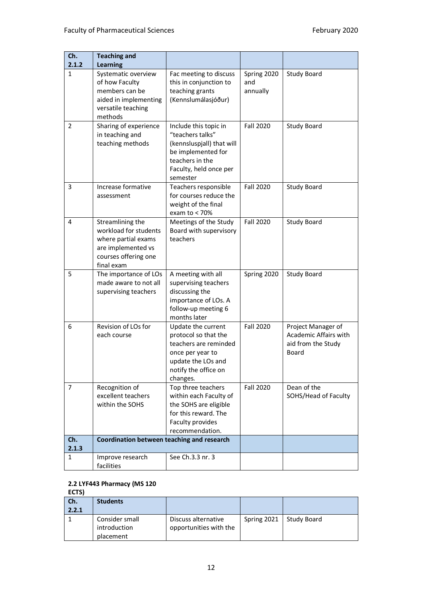| Ch.        | <b>Teaching and</b>                                                                                                          |                                                                                                                                                       |                                |                                                                            |
|------------|------------------------------------------------------------------------------------------------------------------------------|-------------------------------------------------------------------------------------------------------------------------------------------------------|--------------------------------|----------------------------------------------------------------------------|
| 2.1.2      | <b>Learning</b>                                                                                                              |                                                                                                                                                       |                                |                                                                            |
| 1          | Systematic overview<br>of how Faculty<br>members can be<br>aided in implementing<br>versatile teaching                       | Fac meeting to discuss<br>this in conjunction to<br>teaching grants<br>(Kennslumálasjóður)                                                            | Spring 2020<br>and<br>annually | <b>Study Board</b>                                                         |
| 2          | methods<br>Sharing of experience<br>in teaching and<br>teaching methods                                                      | Include this topic in<br>"teachers talks"<br>(kennsluspjall) that will<br>be implemented for<br>teachers in the<br>Faculty, held once per<br>semester | <b>Fall 2020</b>               | <b>Study Board</b>                                                         |
| 3          | Increase formative<br>assessment                                                                                             | Teachers responsible<br>for courses reduce the<br>weight of the final<br>exam to $<$ 70%                                                              | <b>Fall 2020</b>               | <b>Study Board</b>                                                         |
| 4          | Streamlining the<br>workload for students<br>where partial exams<br>are implemented vs<br>courses offering one<br>final exam | Meetings of the Study<br>Board with supervisory<br>teachers                                                                                           | <b>Fall 2020</b>               | <b>Study Board</b>                                                         |
| 5          | The importance of LOs<br>made aware to not all<br>supervising teachers                                                       | A meeting with all<br>supervising teachers<br>discussing the<br>importance of LOs. A<br>follow-up meeting 6<br>months later                           | Spring 2020                    | <b>Study Board</b>                                                         |
| 6          | Revision of LOs for<br>each course                                                                                           | Update the current<br>protocol so that the<br>teachers are reminded<br>once per year to<br>update the LOs and<br>notify the office on<br>changes.     | <b>Fall 2020</b>               | Project Manager of<br>Academic Affairs with<br>aid from the Study<br>Board |
| 7          | Recognition of<br>excellent teachers<br>within the SOHS                                                                      | Top three teachers<br>within each Faculty of<br>the SOHS are eligible<br>for this reward. The<br>Faculty provides<br>recommendation.                  | Fall 2020                      | Dean of the<br>SOHS/Head of Faculty                                        |
| Ch.        | Coordination between teaching and research                                                                                   |                                                                                                                                                       |                                |                                                                            |
| 2.1.3<br>1 | Improve research<br>facilities                                                                                               | See Ch.3.3 nr. 3                                                                                                                                      |                                |                                                                            |

#### **2.2 LYF443 Pharmacy (MS 120**

#### **ECTS) Ch. 2.2.1 Students**  1 Consider small introduction placement Discuss alternative opportunities with the Spring 2021 Study Board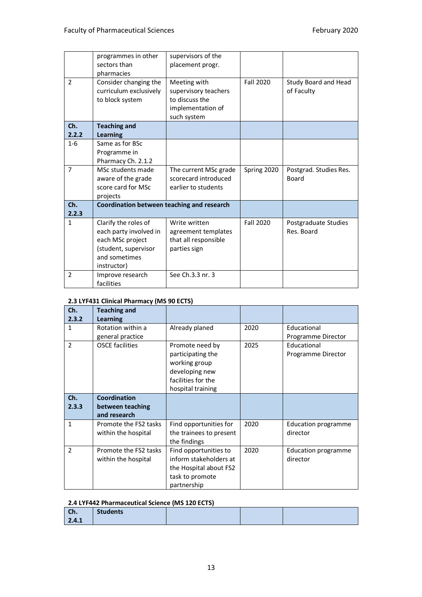|                | programmes in other                        | supervisors of the    |                  |                        |
|----------------|--------------------------------------------|-----------------------|------------------|------------------------|
|                | sectors than                               | placement progr.      |                  |                        |
|                | pharmacies                                 |                       |                  |                        |
| $\mathcal{P}$  | Consider changing the                      | Meeting with          | <b>Fall 2020</b> | Study Board and Head   |
|                | curriculum exclusively                     | supervisory teachers  |                  | of Faculty             |
|                | to block system                            | to discuss the        |                  |                        |
|                |                                            | implementation of     |                  |                        |
|                |                                            | such system           |                  |                        |
| Ch.            | <b>Teaching and</b>                        |                       |                  |                        |
| 2.2.2          | <b>Learning</b>                            |                       |                  |                        |
| $1 - 6$        | Same as for BSc                            |                       |                  |                        |
|                | Programme in                               |                       |                  |                        |
|                | Pharmacy Ch. 2.1.2                         |                       |                  |                        |
| $\overline{7}$ | MSc students made                          | The current MSc grade | Spring 2020      | Postgrad. Studies Res. |
|                | aware of the grade                         | scorecard introduced  |                  | Board                  |
|                | score card for MSc                         | earlier to students   |                  |                        |
|                | projects                                   |                       |                  |                        |
| Ch.            | Coordination between teaching and research |                       |                  |                        |
| 2.2.3          |                                            |                       |                  |                        |
| $\mathbf{1}$   | Clarify the roles of                       | Write written         | Fall 2020        | Postgraduate Studies   |
|                | each party involved in                     | agreement templates   |                  | Res. Board             |
|                | each MSc project                           | that all responsible  |                  |                        |
|                | (student, supervisor                       | parties sign          |                  |                        |
|                | and sometimes                              |                       |                  |                        |
|                | instructor)                                |                       |                  |                        |
| 2              | Improve research                           | See Ch.3.3 nr. 3      |                  |                        |
|                | facilities                                 |                       |                  |                        |

#### **2.3 LYF431 Clinical Pharmacy (MS 90 ECTS)**

| Ch.<br>2.3.2  | <b>Teaching and</b><br><b>Learning</b>                  |                                                                                                                    |      |                                        |
|---------------|---------------------------------------------------------|--------------------------------------------------------------------------------------------------------------------|------|----------------------------------------|
| 1             | Rotation within a<br>general practice                   | Already planed                                                                                                     | 2020 | Educational<br>Programme Director      |
| $\mathcal{P}$ | <b>OSCE facilities</b>                                  | Promote need by<br>participating the<br>working group<br>developing new<br>facilities for the<br>hospital training | 2025 | Educational<br>Programme Director      |
| Ch.<br>2.3.3  | <b>Coordination</b><br>between teaching<br>and research |                                                                                                                    |      |                                        |
| 1             | Promote the FS2 tasks<br>within the hospital            | Find opportunities for<br>the trainees to present<br>the findings                                                  | 2020 | <b>Education programme</b><br>director |
| $\mathcal{P}$ | Promote the FS2 tasks<br>within the hospital            | Find opportunities to<br>inform stakeholders at<br>the Hospital about FS2<br>task to promote<br>partnership        | 2020 | <b>Education programme</b><br>director |

#### **2.4 LYF442 Pharmaceutical Science (MS 120 ECTS)**

| Ch.   | <b>Students</b> |  |  |
|-------|-----------------|--|--|
| 2.4.1 |                 |  |  |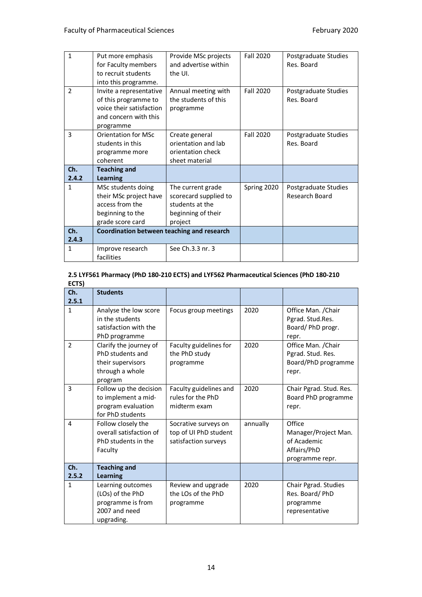| $\mathbf{1}$      | Put more emphasis<br>for Faculty members<br>to recruit students<br>into this programme.                                | Provide MSc projects<br>and advertise within<br>the UI.                                        | <b>Fall 2020</b> | Postgraduate Studies<br>Res. Board            |
|-------------------|------------------------------------------------------------------------------------------------------------------------|------------------------------------------------------------------------------------------------|------------------|-----------------------------------------------|
| $\overline{2}$    | Invite a representative<br>of this programme to<br>voice their satisfaction<br>and concern with this<br>programme      | Annual meeting with<br>the students of this<br>programme                                       | <b>Fall 2020</b> | Postgraduate Studies<br>Res. Board            |
| 3<br>Ch.<br>2.4.2 | <b>Orientation for MSc</b><br>students in this<br>programme more<br>coherent<br><b>Teaching and</b><br><b>Learning</b> | Create general<br>orientation and lab<br>orientation check<br>sheet material                   | Fall 2020        | Postgraduate Studies<br>Res. Board            |
| 1                 | MSc students doing<br>their MSc project have<br>access from the<br>beginning to the<br>grade score card                | The current grade<br>scorecard supplied to<br>students at the<br>beginning of their<br>project | Spring 2020      | Postgraduate Studies<br><b>Research Board</b> |
| Ch.<br>2.4.3      | Coordination between teaching and research                                                                             |                                                                                                |                  |                                               |
| 1                 | Improve research<br>facilities                                                                                         | See Ch.3.3 nr. 3                                                                               |                  |                                               |

#### **2.5 LYF561 Pharmacy (PhD 180-210 ECTS) and LYF562 Pharmaceutical Sciences (PhD 180-210 ECTS)**

| ᄔᄓ             |                                                                                               |                                                                       |          |                                                                                 |
|----------------|-----------------------------------------------------------------------------------------------|-----------------------------------------------------------------------|----------|---------------------------------------------------------------------------------|
| Ch.            | <b>Students</b>                                                                               |                                                                       |          |                                                                                 |
| 2.5.1          |                                                                                               |                                                                       |          |                                                                                 |
| $\mathbf{1}$   | Analyse the low score<br>in the students<br>satisfaction with the<br>PhD programme            | Focus group meetings                                                  | 2020     | Office Man. / Chair<br>Pgrad. Stud.Res.<br>Board/PhD progr.<br>repr.            |
| $\overline{2}$ | Clarify the journey of<br>PhD students and<br>their supervisors<br>through a whole<br>program | Faculty guidelines for<br>the PhD study<br>programme                  | 2020     | Office Man. / Chair<br>Pgrad. Stud. Res.<br>Board/PhD programme<br>repr.        |
| 3              | Follow up the decision<br>to implement a mid-<br>program evaluation<br>for PhD students       | Faculty guidelines and<br>rules for the PhD<br>midterm exam           | 2020     | Chair Pgrad. Stud. Res.<br>Board PhD programme<br>repr.                         |
| 4              | Follow closely the<br>overall satisfaction of<br>PhD students in the<br>Faculty               | Socrative surveys on<br>top of UI PhD student<br>satisfaction surveys | annually | Office<br>Manager/Project Man.<br>of Academic<br>Affairs/PhD<br>programme repr. |
| Ch.<br>2.5.2   | <b>Teaching and</b><br><b>Learning</b>                                                        |                                                                       |          |                                                                                 |
| 1              | Learning outcomes<br>(LOs) of the PhD<br>programme is from<br>2007 and need<br>upgrading.     | Review and upgrade<br>the LOs of the PhD<br>programme                 | 2020     | Chair Pgrad. Studies<br>Res. Board/PhD<br>programme<br>representative           |